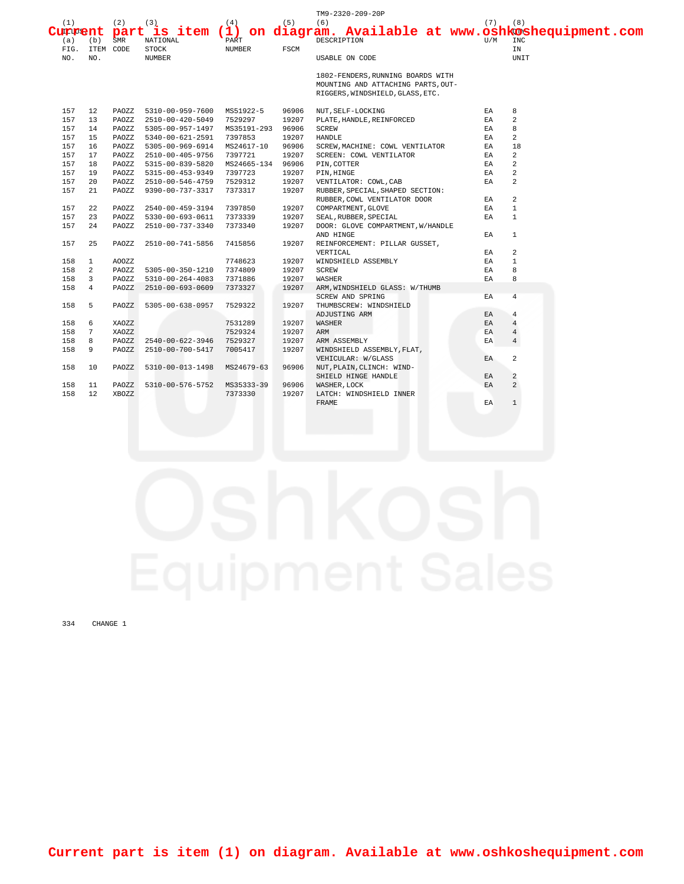|                       |                  |                   |                               |               |       | TM9-2320-209-20P                                                                                            |             |                   |
|-----------------------|------------------|-------------------|-------------------------------|---------------|-------|-------------------------------------------------------------------------------------------------------------|-------------|-------------------|
| (1)<br>Current<br>(a) | (b)              | (2)<br><b>SMR</b> | (3)<br>NATIONAL               | (4)<br>PART   | (5)   | (6)<br>part is item (1) on diagram. Available at www.oshkoshequipment.com<br>DESCRIPTION                    | (7)<br>TJ/M | (8)<br><b>INC</b> |
| FIG.<br>NO.           | ITEM CODE<br>NO. |                   | <b>STOCK</b><br><b>NUMBER</b> | <b>NUMBER</b> | FSCM  | USABLE ON CODE                                                                                              |             | ΙN<br>UNIT        |
|                       |                  |                   |                               |               |       | 1802-FENDERS, RUNNING BOARDS WITH<br>MOUNTING AND ATTACHING PARTS, OUT-<br>RIGGERS, WINDSHIELD, GLASS, ETC. |             |                   |
| 157                   | 12               | PAOZZ             | 5310-00-959-7600              | MS51922-5     | 96906 | NUT, SELF-LOCKING                                                                                           | EA.         | 8                 |
| 157                   | 13               | PAOZZ             | 2510-00-420-5049              | 7529297       | 19207 | PLATE, HANDLE, REINFORCED                                                                                   | EA          | $\overline{a}$    |
| 157                   | 14               | PAOZZ             | 5305-00-957-1497              | MS35191-293   | 96906 | <b>SCREW</b>                                                                                                | EA.         | 8                 |
| 157                   | 15               | PAOZZ             | 5340-00-621-2591              | 7397853       | 19207 | <b>HANDLE</b>                                                                                               | ΕA          | 2                 |
| 157                   | 16               | PAOZZ             | 5305-00-969-6914              | MS24617-10    | 96906 | SCREW, MACHINE: COWL VENTILATOR                                                                             | EA          | 18                |
| 157                   | 17               | PAOZZ             | 2510-00-405-9756              | 7397721       | 19207 | SCREEN: COWL VENTILATOR                                                                                     | EA          | 2                 |
| 157                   | 18               | PAOZZ             | 5315-00-839-5820              | MS24665-134   | 96906 | PIN, COTTER                                                                                                 | EA          | 2                 |
| 157                   | 19               | PAOZZ             | 5315-00-453-9349              | 7397723       | 19207 | PIN, HINGE                                                                                                  | EA          | 2                 |
| 157                   | 20               | PAOZZ             | 2510-00-546-4759              | 7529312       | 19207 | VENTILATOR: COWL, CAB                                                                                       | EA          | 2                 |
| 157                   | 21               | PAOZZ             | 9390-00-737-3317              | 7373317       | 19207 | RUBBER, SPECIAL, SHAPED SECTION:                                                                            |             |                   |
|                       |                  |                   |                               |               |       | RUBBER, COWL VENTILATOR DOOR                                                                                | EA.         | 2                 |
| 157                   | 22               | PAOZZ             | 2540-00-459-3194              | 7397850       | 19207 | COMPARTMENT, GLOVE                                                                                          | EA          | $\mathbf{1}$      |
| 157                   | 23               | PAOZZ             | 5330-00-693-0611              | 7373339       | 19207 | SEAL, RUBBER, SPECIAL                                                                                       | EA          | $\mathbf{1}$      |
| 157                   | 24               | PAOZZ             | 2510-00-737-3340              | 7373340       | 19207 | DOOR: GLOVE COMPARTMENT, W/HANDLE                                                                           |             |                   |
|                       |                  |                   |                               |               |       | AND HINGE                                                                                                   | EA.         | $\mathbf{1}$      |
| 157                   | 25               | PAOZZ             | 2510-00-741-5856              | 7415856       | 19207 | REINFORCEMENT: PILLAR GUSSET,                                                                               |             |                   |
|                       |                  |                   |                               |               |       | VERTICAL                                                                                                    | ΕA          | 2                 |
| 158                   | $\mathbf{1}$     | AOOZZ             |                               | 7748623       | 19207 | WINDSHIELD ASSEMBLY                                                                                         | EA          | $\mathbf{1}$      |
| 158                   | $\overline{a}$   | PAOZZ             | 5305-00-350-1210              | 7374809       | 19207 | <b>SCREW</b>                                                                                                | EA          | 8                 |
| 158                   | 3                | PAOZZ             | 5310-00-264-4083              | 7371886       | 19207 | <b>WASHER</b>                                                                                               | EA          | 8                 |
| 158                   | $\overline{4}$   | PAOZZ             | 2510-00-693-0609              | 7373327       | 19207 | ARM, WINDSHIELD GLASS: W/THUMB                                                                              |             |                   |
|                       |                  |                   |                               |               |       | SCREW AND SPRING                                                                                            | ΕA          | 4                 |
| 158                   | 5                | PAOZZ             | 5305-00-638-0957              | 7529322       | 19207 | THUMBSCREW: WINDSHIELD                                                                                      |             |                   |
|                       |                  |                   |                               |               |       | ADJUSTING ARM                                                                                               | EA          | $\overline{4}$    |
| 158                   | 6                | XAOZZ             |                               | 7531289       | 19207 | WASHER                                                                                                      | EA          | $\overline{4}$    |
| 158                   | 7                | XAOZZ             |                               | 7529324       | 19207 | ARM                                                                                                         | ΕA          | $\overline{4}$    |
| 158                   | 8                | PAOZZ             | 2540-00-622-3946              | 7529327       | 19207 | ARM ASSEMBLY                                                                                                | EA          | $\overline{4}$    |
| 158                   | 9                | PAOZZ             | 2510-00-700-5417              | 7005417       | 19207 | WINDSHIELD ASSEMBLY, FLAT,                                                                                  |             |                   |
|                       |                  |                   |                               |               |       | VEHICULAR: W/GLASS                                                                                          | EA          | 2                 |
| 158                   | 10               | PAOZZ             | 5310-00-013-1498              | MS24679-63    | 96906 | NUT, PLAIN, CLINCH: WIND-                                                                                   |             |                   |
|                       |                  |                   |                               |               |       | SHIELD HINGE HANDLE                                                                                         | EA          | 2                 |
| 158                   | 11               | PAOZZ             | 5310-00-576-5752              | MS35333-39    | 96906 | WASHER, LOCK                                                                                                | EA.         | $\overline{a}$    |
| 158                   | 12               | XBOZZ             |                               | 7373330       | 19207 | LATCH: WINDSHIELD INNER                                                                                     |             |                   |
|                       |                  |                   |                               |               |       | <b>FRAME</b>                                                                                                | EA          | $\mathbf{1}$      |
|                       |                  |                   |                               |               |       |                                                                                                             |             |                   |

334 CHANGE 1